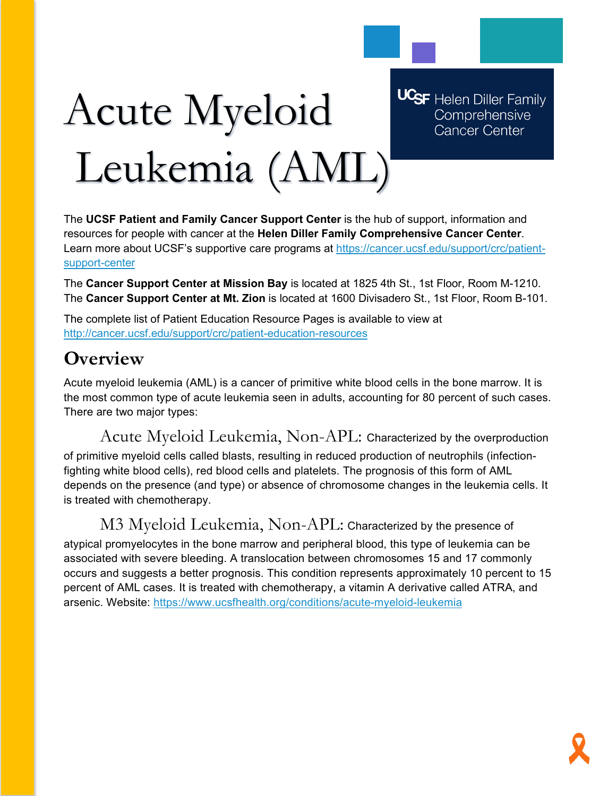

# Acute Myeloid Leukemia (AML)

**UCSF** Helen Diller Family Comprehensive **Cancer Center** 

The **UCSF Patient and Family Cancer Support Center** is the hub of support, information and resources for people with cancer at the **Helen Diller Family Comprehensive Cancer Center**. Learn more about UCSF's supportive care programs at [https://cancer.ucsf.edu/support/crc/patient](https://cancer.ucsf.edu/support/crc/patient-support-center)[support-center](https://cancer.ucsf.edu/support/crc/patient-support-center)

The **Cancer Support Center at Mission Bay** is located at 1825 4th St., 1st Floor, Room M-1210. The **Cancer Support Center at Mt. Zion** is located at 1600 Divisadero St., 1st Floor, Room B-101.

The complete list of Patient Education Resource Pages is available to view at <http://cancer.ucsf.edu/support/crc/patient-education-resources>

# **Overview**

Acute myeloid leukemia (AML) is a cancer of primitive white blood cells in the bone marrow. It is the most common type of acute leukemia seen in adults, accounting for 80 percent of such cases. There are two major types:

Acute Myeloid Leukemia, Non-APL: Characterized by the overproduction of primitive myeloid cells called blasts, resulting in reduced production of neutrophils (infectionfighting white blood cells), red blood cells and platelets. The prognosis of this form of AML depends on the presence (and type) or absence of chromosome changes in the leukemia cells. It is treated with chemotherapy.

## M3 Myeloid Leukemia, Non-APL: Characterized by the presence of

atypical promyelocytes in the bone marrow and peripheral blood, this type of leukemia can be associated with severe bleeding. A translocation between chromosomes 15 and 17 commonly occurs and suggests a better prognosis. This condition represents approximately 10 percent to 15 percent of AML cases. It is treated with chemotherapy, a vitamin A derivative called ATRA, and arsenic. Website:<https://www.ucsfhealth.org/conditions/acute-myeloid-leukemia>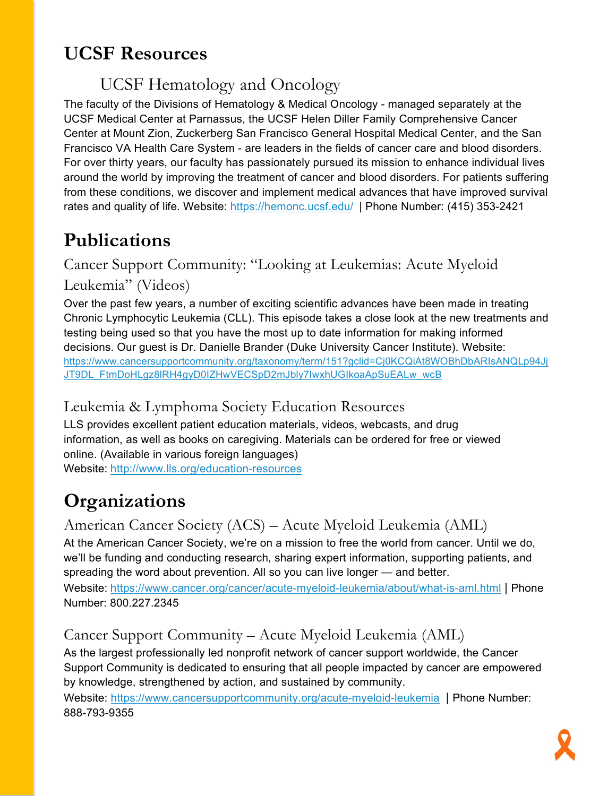# **UCSF Resources**

# UCSF Hematology and Oncology

The faculty of the Divisions of Hematology & Medical Oncology - managed separately at the UCSF Medical Center at Parnassus, the UCSF Helen Diller Family Comprehensive Cancer Center at Mount Zion, Zuckerberg San Francisco General Hospital Medical Center, and the San Francisco VA Health Care System - are leaders in the fields of cancer care and blood disorders. For over thirty years, our faculty has passionately pursued its mission to enhance individual lives around the world by improving the treatment of cancer and blood disorders. For patients suffering from these conditions, we discover and implement medical advances that have improved survival rates and quality of life. Website:<https://hemonc.ucsf.edu/>| Phone Number: (415) 353-2421

# **Publications**

## Cancer Support Community: "Looking at Leukemias: Acute Myeloid Leukemia" (Videos)

Over the past few years, a number of exciting scientific advances have been made in treating Chronic Lymphocytic Leukemia (CLL). This episode takes a close look at the new treatments and testing being used so that you have the most up to date information for making informed decisions. Our guest is Dr. Danielle Brander (Duke University Cancer Institute). Website: [https://www.cancersupportcommunity.org/taxonomy/term/151?gclid=Cj0KCQiAt8WOBhDbARIsANQLp94Jj](https://www.cancersupportcommunity.org/taxonomy/term/151?gclid=Cj0KCQiAt8WOBhDbARIsANQLp94JjJT9DL_FtmDoHLgz8lRH4gyD0IZHwVECSpD2mJbly7IwxhUGIkoaApSuEALw_wcB) [JT9DL\\_FtmDoHLgz8lRH4gyD0IZHwVECSpD2mJbly7IwxhUGIkoaApSuEALw\\_wcB](https://www.cancersupportcommunity.org/taxonomy/term/151?gclid=Cj0KCQiAt8WOBhDbARIsANQLp94JjJT9DL_FtmDoHLgz8lRH4gyD0IZHwVECSpD2mJbly7IwxhUGIkoaApSuEALw_wcB)

#### Leukemia & Lymphoma Society Education Resources

LLS provides excellent patient education materials, videos, webcasts, and drug information, as well as books on caregiving. Materials can be ordered for free or viewed online. (Available in various foreign languages) Website: <http://www.lls.org/education-resources>

# **Organizations**

## American Cancer Society (ACS) – Acute Myeloid Leukemia (AML)

At the American Cancer Society, we're on a mission to free the world from cancer. Until we do, we'll be funding and conducting research, sharing expert information, supporting patients, and spreading the word about prevention. All so you can live longer — and better.

Website: <https://www.cancer.org/cancer/acute-myeloid-leukemia/about/what-is-aml.html> | Phone Number: 800.227.2345

## Cancer Support Community – Acute Myeloid Leukemia (AML)

As the largest professionally led nonprofit network of cancer support worldwide, the Cancer Support Community is dedicated to ensuring that all people impacted by cancer are empowered by knowledge, strengthened by action, and sustained by community.

Website: <https://www.cancersupportcommunity.org/acute-myeloid-leukemia> | Phone Number: 888-793-9355